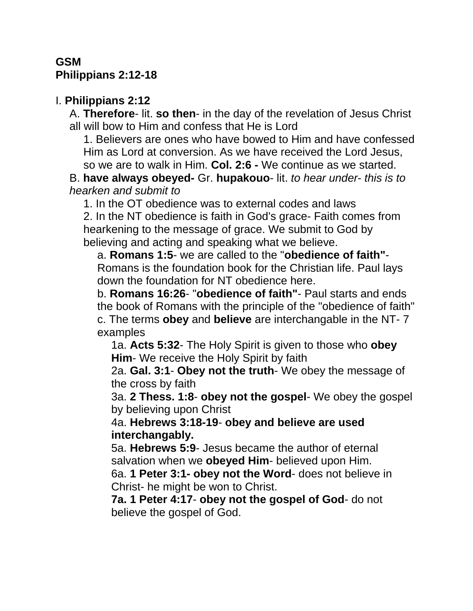### **GSM Philippians 2:12-18**

### I. **Philippians 2:12**

A. **Therefore**- lit. **so then**- in the day of the revelation of Jesus Christ all will bow to Him and confess that He is Lord

1. Believers are ones who have bowed to Him and have confessed Him as Lord at conversion. As we have received the Lord Jesus, so we are to walk in Him. **Col. 2:6 -** We continue as we started.

B. **have always obeyed-** Gr. **hupakouo**- lit. *to hear under*- *this is to hearken and submit to*

1. In the OT obedience was to external codes and laws

2. In the NT obedience is faith in God's grace- Faith comes from hearkening to the message of grace. We submit to God by believing and acting and speaking what we believe.

a. **Romans 1:5**- we are called to the "**obedience of faith"**- Romans is the foundation book for the Christian life. Paul lays down the foundation for NT obedience here.

b. **Romans 16:26**- "**obedience of faith"**- Paul starts and ends the book of Romans with the principle of the "obedience of faith" c. The terms **obey** and **believe** are interchangable in the NT- 7 examples

1a. **Acts 5:32**- The Holy Spirit is given to those who **obey Him**- We receive the Holy Spirit by faith

2a. **Gal. 3:1**- **Obey not the truth**- We obey the message of the cross by faith

3a. **2 Thess. 1:8**- **obey not the gospel**- We obey the gospel by believing upon Christ

4a. **Hebrews 3:18-19**- **obey and believe are used interchangably.**

5a. **Hebrews 5:9**- Jesus became the author of eternal salvation when we **obeyed Him**- believed upon Him.

6a. **1 Peter 3:1- obey not the Word**- does not believe in Christ- he might be won to Christ.

**7a. 1 Peter 4:17**- **obey not the gospel of God**- do not believe the gospel of God.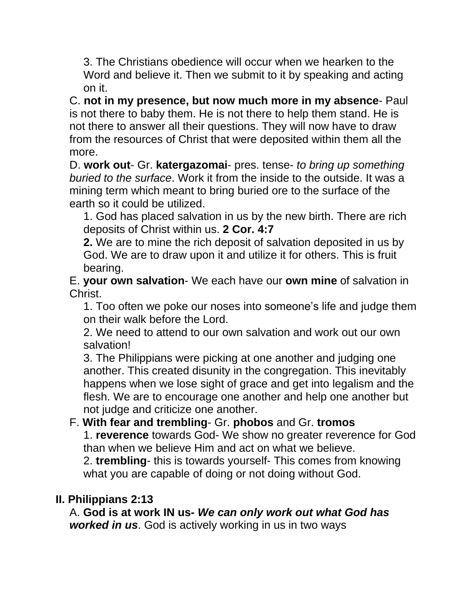3. The Christians obedience will occur when we hearken to the Word and believe it. Then we submit to it by speaking and acting on it.

C. **not in my presence, but now much more in my absence**- Paul is not there to baby them. He is not there to help them stand. He is not there to answer all their questions. They will now have to draw from the resources of Christ that were deposited within them all the more.

D. **work out**- Gr. **katergazomai**- pres. tense- *to bring up something buried to the surface*. Work it from the inside to the outside. It was a mining term which meant to bring buried ore to the surface of the earth so it could be utilized.

1. God has placed salvation in us by the new birth. There are rich deposits of Christ within us. **2 Cor. 4:7**

**2.** We are to mine the rich deposit of salvation deposited in us by God. We are to draw upon it and utilize it for others. This is fruit bearing.

E. **your own salvation**- We each have our **own mine** of salvation in Christ.

1. Too often we poke our noses into someone's life and judge them on their walk before the Lord.

2. We need to attend to our own salvation and work out our own salvation!

3. The Philippians were picking at one another and judging one another. This created disunity in the congregation. This inevitably happens when we lose sight of grace and get into legalism and the flesh. We are to encourage one another and help one another but not judge and criticize one another.

### F. **With fear and trembling**- Gr. **phobos** and Gr. **tromos**

1. **reverence** towards God- We show no greater reverence for God than when we believe Him and act on what we believe.

2. **trembling**- this is towards yourself- This comes from knowing what you are capable of doing or not doing without God.

#### **II. Philippians 2:13**

A. **God is at work IN us-** *We can only work out what God has worked in us*. God is actively working in us in two ways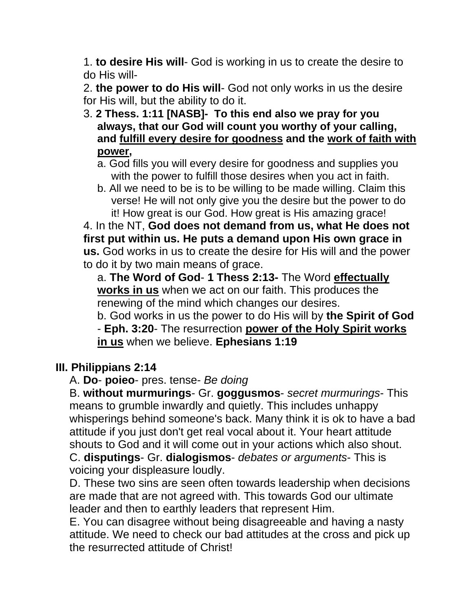1. **to desire His will**- God is working in us to create the desire to do His will-

2. **the power to do His will**- God not only works in us the desire for His will, but the ability to do it.

- 3. **2 Thess. 1:11 [NASB]- To this end also we pray for you always, that our God will count you worthy of your calling, and fulfill every desire for goodness and the work of faith with power,** 
	- a. God fills you will every desire for goodness and supplies you with the power to fulfill those desires when you act in faith.
	- b. All we need to be is to be willing to be made willing. Claim this verse! He will not only give you the desire but the power to do it! How great is our God. How great is His amazing grace!

4. In the NT, **God does not demand from us, what He does not first put within us. He puts a demand upon His own grace in us.** God works in us to create the desire for His will and the power to do it by two main means of grace.

a. **The Word of God**- **1 Thess 2:13-** The Word **effectually works in us** when we act on our faith. This produces the renewing of the mind which changes our desires.

b. God works in us the power to do His will by **the Spirit of God** - **Eph. 3:20**- The resurrection **power of the Holy Spirit works in us** when we believe. **Ephesians 1:19** 

### **III. Philippians 2:14**

A. **Do**- **poieo**- pres. tense- *Be doing*

B. **without murmurings**- Gr. **goggusmos**- *secret murmurings*- This means to grumble inwardly and quietly. This includes unhappy whisperings behind someone's back. Many think it is ok to have a bad attitude if you just don't get real vocal about it. Your heart attitude shouts to God and it will come out in your actions which also shout. C. **disputings**- Gr. **dialogismos**- *debates or arguments*- This is voicing your displeasure loudly.

D. These two sins are seen often towards leadership when decisions are made that are not agreed with. This towards God our ultimate leader and then to earthly leaders that represent Him.

E. You can disagree without being disagreeable and having a nasty attitude. We need to check our bad attitudes at the cross and pick up the resurrected attitude of Christ!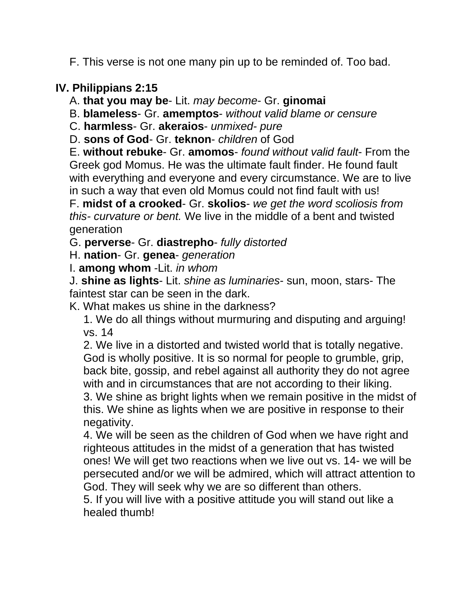F. This verse is not one many pin up to be reminded of. Too bad.

# **IV. Philippians 2:15**

A. **that you may be**- Lit. *may become*- Gr. **ginomai**

B. **blameless**- Gr. **amemptos**- *without valid blame or censure*

C. **harmless**- Gr. **akeraios**- *unmixed- pure*

D. **sons of God**- Gr. **teknon**- *children* of God

E. **without rebuke**- Gr. **amomos**- *found without valid fault*- From the Greek god Momus. He was the ultimate fault finder. He found fault with everything and everyone and every circumstance. We are to live in such a way that even old Momus could not find fault with us!

F. **midst of a crooked**- Gr. **skolios**- *we get the word scoliosis from this- curvature or bent.* We live in the middle of a bent and twisted generation

G. **perverse**- Gr. **diastrepho**- *fully distorted*

H. **nation**- Gr. **genea**- *generation*

I. **among whom** -Lit. *in whom*

J. **shine as lights**- Lit. *shine as luminaries*- sun, moon, stars- The faintest star can be seen in the dark.

K. What makes us shine in the darkness?

1. We do all things without murmuring and disputing and arguing! vs. 14

2. We live in a distorted and twisted world that is totally negative. God is wholly positive. It is so normal for people to grumble, grip, back bite, gossip, and rebel against all authority they do not agree with and in circumstances that are not according to their liking. 3. We shine as bright lights when we remain positive in the midst of this. We shine as lights when we are positive in response to their negativity.

4. We will be seen as the children of God when we have right and righteous attitudes in the midst of a generation that has twisted ones! We will get two reactions when we live out vs. 14- we will be persecuted and/or we will be admired, which will attract attention to God. They will seek why we are so different than others.

5. If you will live with a positive attitude you will stand out like a healed thumb!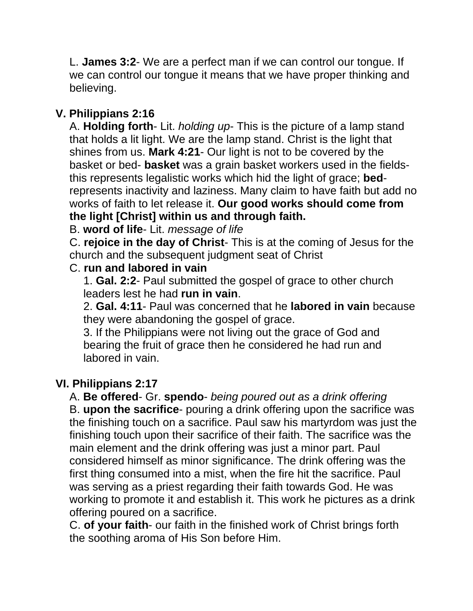L. **James 3:2**- We are a perfect man if we can control our tongue. If we can control our tongue it means that we have proper thinking and believing.

# **V. Philippians 2:16**

A. **Holding forth**- Lit. *holding up*- This is the picture of a lamp stand that holds a lit light. We are the lamp stand. Christ is the light that shines from us. **Mark 4:21**- Our light is not to be covered by the basket or bed- **basket** was a grain basket workers used in the fieldsthis represents legalistic works which hid the light of grace; **bed**represents inactivity and laziness. Many claim to have faith but add no works of faith to let release it. **Our good works should come from the light [Christ] within us and through faith.** 

### B. **word of life**- Lit. *message of life*

C. **rejoice in the day of Christ**- This is at the coming of Jesus for the church and the subsequent judgment seat of Christ

#### C. **run and labored in vain**

1. **Gal. 2:2**- Paul submitted the gospel of grace to other church leaders lest he had **run in vain**.

2. **Gal. 4:11**- Paul was concerned that he **labored in vain** because they were abandoning the gospel of grace.

3. If the Philippians were not living out the grace of God and bearing the fruit of grace then he considered he had run and labored in vain.

### **VI. Philippians 2:17**

A. **Be offered**- Gr. **spendo**- *being poured out as a drink offering* B. **upon the sacrifice**- pouring a drink offering upon the sacrifice was the finishing touch on a sacrifice. Paul saw his martyrdom was just the finishing touch upon their sacrifice of their faith. The sacrifice was the main element and the drink offering was just a minor part. Paul considered himself as minor significance. The drink offering was the first thing consumed into a mist, when the fire hit the sacrifice. Paul was serving as a priest regarding their faith towards God. He was working to promote it and establish it. This work he pictures as a drink offering poured on a sacrifice.

C. **of your faith**- our faith in the finished work of Christ brings forth the soothing aroma of His Son before Him.